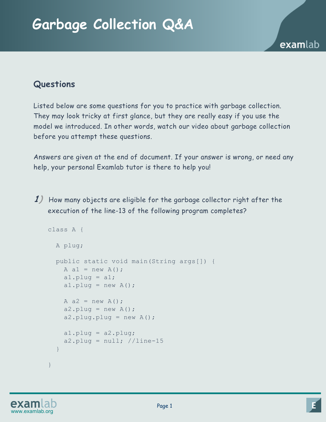## **Questions**

Listed below are some questions for you to practice with garbage collection. They may look tricky at first glance, but they are really easy if you use the model we introduced. In other words, watch our video about garbage collection before you attempt these questions.

Answers are given at the end of document. If your answer is wrong, or need any help, your personal Examlab tutor is there to help you!

**1)** How many objects are eligible for the garbage collector right after the execution of the line-13 of the following program completes?

```
class A { 
   A plug; 
   public static void main(String args[]) { 
    A a1 = new A();
    al.plug = a1;
    al.plug = new A();
    A a2 = new A();
    a2.plug = new A();
    a2.plug.plug = new A();
    al.plug = a2.plug;
    a2.plug = null; //line-15
   } 
}
```
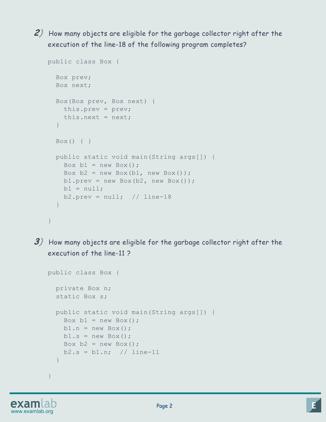**2)** How many objects are eligible for the garbage collector right after the execution of the line-18 of the following program completes?

```
public class Box { 
   Box prev; 
   Box next; 
   Box(Box prev, Box next) { 
     this.prev = prev; 
    this.next = next; } 
   Box() { } 
   public static void main(String args[]) { 
    Box b1 = new Box();
    Box b2 = new Box(b1, new Box());
    b1.prev = new Box(b2, new Box());
    b1 = null;b2.prev = null; // line-18
   } 
}
```
**3)** How many objects are eligible for the garbage collector right after the execution of the line-11 ?

```
public class Box { 
   private Box n; 
   static Box s; 
   public static void main(String args[]) { 
    Box b1 = new Box();
    b1.n = new Box();b1.s = new Box();
    Box b2 = new Box();
    b2.s = b1.n; // line-11
   } 
}
```
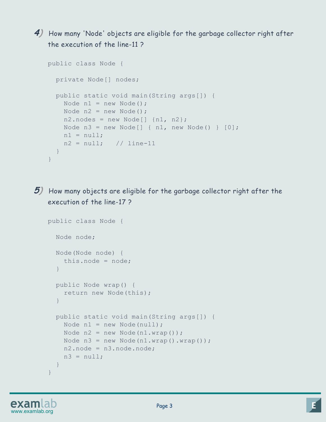**4)** How many 'Node' objects are eligible for the garbage collector right after the execution of the line-11 ?

```
public class Node { 
   private Node[] nodes; 
   public static void main(String args[]) { 
    Node n1 = new Node();
    Node n2 = new Node();
    n2.nodes = new Node[] {n1, n2};Node n3 = new Node[] { n1, new Node() } [0];
    nl = null;n2 = null; // line-11
  } 
}
```
**5)** How many objects are eligible for the garbage collector right after the execution of the line-17 ?

```
public class Node { 
   Node node; 
   Node(Node node) { 
     this.node = node; 
   } 
   public Node wrap() { 
     return new Node(this); 
   } 
   public static void main(String args[]) { 
    Node n1 = new Node(null);Node n2 = new Node(n1.wrap());
    Node n3 = new Node(n1.wrap().wrap());
    n2.node = n3.node.node;n3 = null; } 
}
```
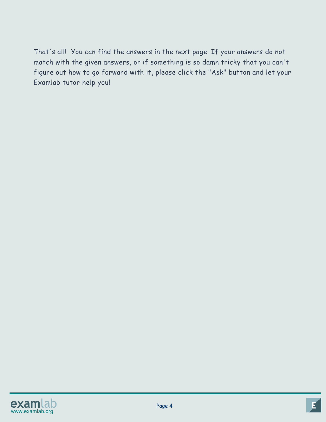That's all! You can find the answers in the next page. If your answers do not match with the given answers, or if something is so damn tricky that you can't figure out how to go forward with it, please click the "Ask" button and let your Examlab tutor help you!